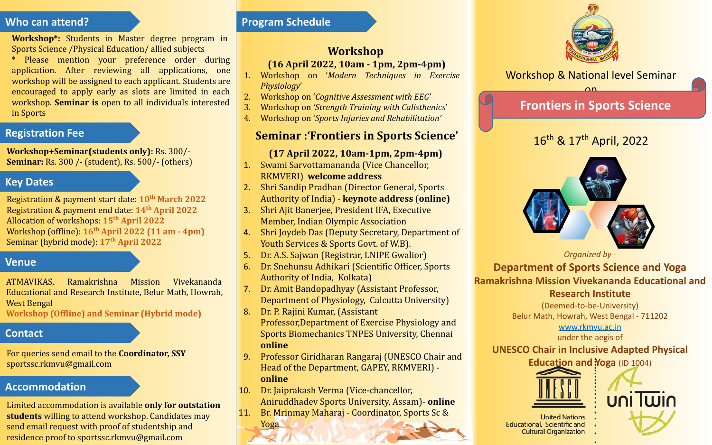### **Who can attend?**

**Workshop\*:** Students in Master degree program in Sports Science /Physical Education/ allied subjects

\* Please mention your preference order during application. After reviewing all applications, one workshop will be assigned to each applicant. Students are encouraged to apply early as slots are limited in each workshop. **Seminar is** open to all individuals interested in Sports

## **Registration Fee**

**Workshop+Seminar(students only):** Rs. 300/- **Seminar:** Rs. 300 /- (student), Rs. 500/- (others)

## **Key Dates**

Registration & payment start date: **10th March 2022** Registration & payment end date: **14th April 2022** Allocation of workshops: **15th April 2022** Workshop (offline): **16th April 2022 (11 am - 4pm)** Seminar (hybrid mode): **17th April 2022**

## **Venue**

ATMAVIKAS, Ramakrishna Mission Vivekananda Educational and Research Institute, Belur Math, Howrah, West Bengal

**Workshop (Offline) and Seminar (Hybrid mode)**

## **Contact**

For queries send email to the **Coordinator, SSY** sportssc.rkmvu@gmail.com

## **Accommodation**

Limited accommodation is available **only for outstation students** willing to attend workshop. Candidates may send email request with proof of studentship and residence proof to sportssc.rkmvu@gmail.com

## **Program Schedule**

## **Workshop (16 April 2022, 10am - 1pm, 2pm-4pm)**

- 1. Workshop on '*Modern Techniques in Exercise Physiology*'
- 2. Workshop on '*Cognitive Assessment with EEG*'
- 3. Workshop on *'Strength Training with Calisthenics*'
- 4. Workshop on '*Sports Injuries and Rehabilitation'*

## **Seminar :'Frontiers in Sports Science'**

## **(17 April 2022, 10am-1pm, 2pm-4pm)**

- 1. Swami Sarvottamananda (Vice Chancellor, RKMVERI) **welcome address**
- 2. Shri Sandip Pradhan (Director General, Sports Authority of India) - **keynote address** (**online)**
- 3. Shri Ajit Banerjee, President IFA, Executive Member, Indian Olympic Association
- 4. Shri Joydeb Das (Deputy Secretary, Department of Youth Services & Sports Govt. of W.B).
- 5. Dr. A.S. Sajwan (Registrar, LNIPE Gwalior)
- 6. Dr. Snehunsu Adhikari (Scientific Officer, Sports Authority of India, Kolkata)
- 7. Dr. Amit Bandopadhyay (Assistant Professor, Department of Physiology, Calcutta University)
- 8. Dr. P. Rajini Kumar, (Assistant Professor,Department of Exercise Physiology and Sports Biomechanics TNPES University, Chennai **online**
- 9. Professor Giridharan Rangaraj (UNESCO Chair and Head of the Department, GAPEY, RKMVERI) **online**
- 10. Dr. Jaiprakash Verma (Vice-chancellor, Aniruddhadev Sports University, Assam)- **online**
- 11. Br. Mrinmay Maharaj Coordinator, Sports Sc & Yoga



Workshop & National level Seminar on

## **Frontiers in Sports Science**

# 16<sup>th</sup> & 17<sup>th</sup> April, 2022



*Organized by -* 

**Department of Sports Science and Yoga Ramakrishna Mission Vivekananda Educational and Research Institute**

(Deemed-to-be-University) Belur Math, Howrah, West Bengal - 711202 www.rkmvu.ac.in

under the aegis of

**UNESCO Chair in Inclusive Adapted Physical** 





**United Nations Educational, Scientific and Cultural Organization**